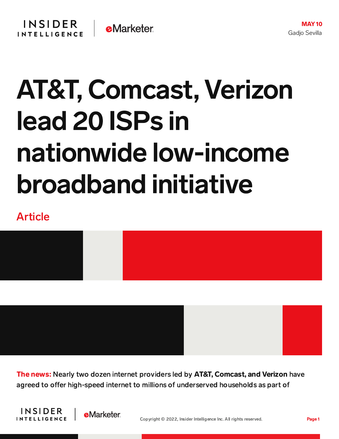## AT&T, Comcast, Verizon lead 20 ISPs in nationwide low-income broadband initiative

## Article



The news: Nearly two dozen internet providers led by AT&T, Comcast, and Verizon have agreed to offer high-speed internet to millions of underserved households as part of



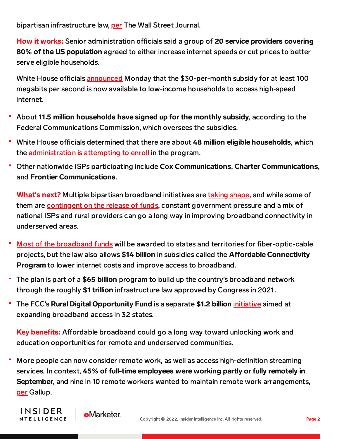bipartisan infrastructure law, [per](https://www.wsj.com/articles/internet-providers-commit-to-low-income-broadband-program-under-infrastructure-law-11652086801) The Wall Street Journal.

How it works: Senior administration officials said a group of 20 service providers covering 80% of the US population agreed to either increase internet speeds or cut prices to better serve eligible households.

White House officials **[announced](https://www.whitehouse.gov/briefing-room/statements-releases/2022/05/09/fact-sheet-president-biden-and-vice-president-harris-reduce-high-speed-internet-costs-for-millions-of-americans/)** Monday that the \$30-per-month subsidy for at least 100 megabits per second is now available to low-income households to access high-speed internet.

- About 11.5 million households have signed up for the monthly subsidy, according to the Federal Communications Commission, which oversees the subsidies.
- " White House officials determined that there are about 48 million eligible households, which the [administration](https://www.wsj.com/articles/bidens-effort-to-increase-internet-access-faces-hurdle-getting-the-word-out-11651939128?page=1&mod=article_inline) is attempting to enroll in the program.
- Other nationwide ISPs participating include Cox Communications, Charter Communications, and Frontier Communications.

What**'**s next? Multiple bipartisan broadband initiatives are taking [shape,](https://content-na2.emarketer.com/infrastructure-bill-will-shrink-digital-divide) and while some of them are [contingent](https://content-na2.emarketer.com/burden-falls-state-officials-1t-infrastructure-bill-becomes-law) on the release of funds, constant government pressure and a mix of national ISPs and rural providers can go a long way in improving broadband connectivity in underserved areas.

- Most of the [broadband](https://www.wsj.com/articles/investment-impact-of-1-trillion-infrastructure-measure-seen-as-mixed-11641556801?mod=article_inline) funds will be awarded to states and territories for fiber-optic-cable projects, but the law also allows \$14 billion in subsidies called the Affordable Connectivity Program to lower internet costs and improve access to broadband.
- The plan is part of a \$65 billion program to build up the country's broadband network through the roughly \$1 trillion infrastructure law approved by Congress in 2021.
- The FCC's Rural Digital Opportunity Fund is a separate \$1.2 billion *[initiative](https://content-na2.emarketer.com/fcc-announces-1-2b-rural-broadband-fund-32-states)* aimed at expanding broadband access in 32 states.

Key benefits: Affordable broadband could go a long way toward unlocking work and education opportunities for remote and underserved communities.

More people can now consider remote work, as well as access high-definition streaming services. In context, 45% of full-time employees were working partly or fully remotely in September, and nine in 10 remote workers wanted to maintain remote work arrangements, [per](https://news.gallup.com/poll/355907/remote-work-persisting-trending-permanent.aspx) Gallup.